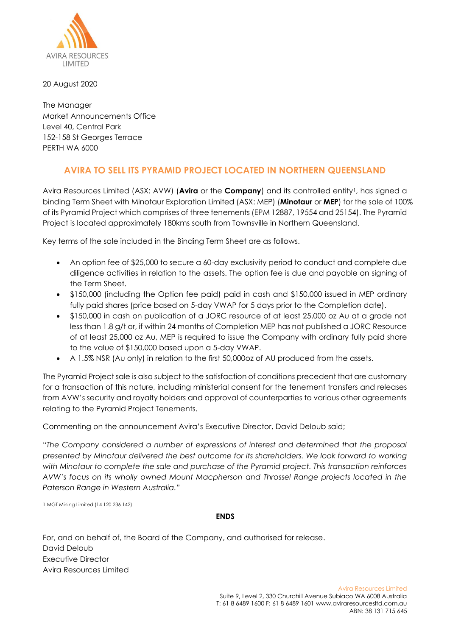

20 August 2020

The Manager Market Announcements Office Level 40, Central Park 152-158 St Georges Terrace PERTH WA 6000

## **AVIRA TO SELL ITS PYRAMID PROJECT LOCATED IN NORTHERN QUEENSLAND**

Avira Resources Limited (ASX: AVW) (**Avira** or the **Company**) and its controlled entity1, has signed a binding Term Sheet with Minotaur Exploration Limited (ASX: MEP) (**Minotaur** or **MEP**) for the sale of 100% of its Pyramid Project which comprises of three tenements (EPM 12887, 19554 and 25154). The Pyramid Project is located approximately 180kms south from Townsville in Northern Queensland.

Key terms of the sale included in the Binding Term Sheet are as follows.

- An option fee of \$25,000 to secure a 60-day exclusivity period to conduct and complete due diligence activities in relation to the assets. The option fee is due and payable on signing of the Term Sheet.
- \$150,000 (including the Option fee paid) paid in cash and \$150,000 issued in MEP ordinary fully paid shares (price based on 5-day VWAP for 5 days prior to the Completion date).
- \$150,000 in cash on publication of a JORC resource of at least 25,000 oz Au at a grade not less than 1.8 g/t or, if within 24 months of Completion MEP has not published a JORC Resource of at least 25,000 oz Au, MEP is required to issue the Company with ordinary fully paid share to the value of \$150,000 based upon a 5-day VWAP.
- A 1.5% NSR (Au only) in relation to the first 50,000oz of AU produced from the assets.

The Pyramid Project sale is also subject to the satisfaction of conditions precedent that are customary for a transaction of this nature, including ministerial consent for the tenement transfers and releases from AVW's security and royalty holders and approval of counterparties to various other agreements relating to the Pyramid Project Tenements.

Commenting on the announcement Avira's Executive Director, David Deloub said;

"*The Company considered a number of expressions of interest and determined that the proposal presented by Minotaur delivered the best outcome for its shareholders. We look forward to working with Minotaur to complete the sale and purchase of the Pyramid project. This transaction reinforces AVW's focus on its wholly owned Mount Macpherson and Throssel Range projects located in the Paterson Range in Western Australia.*"

1 MGT Mining Limited (14 120 236 142)

## **ENDS**

For, and on behalf of, the Board of the Company, and authorised for release. David Deloub Executive Director Avira Resources Limited